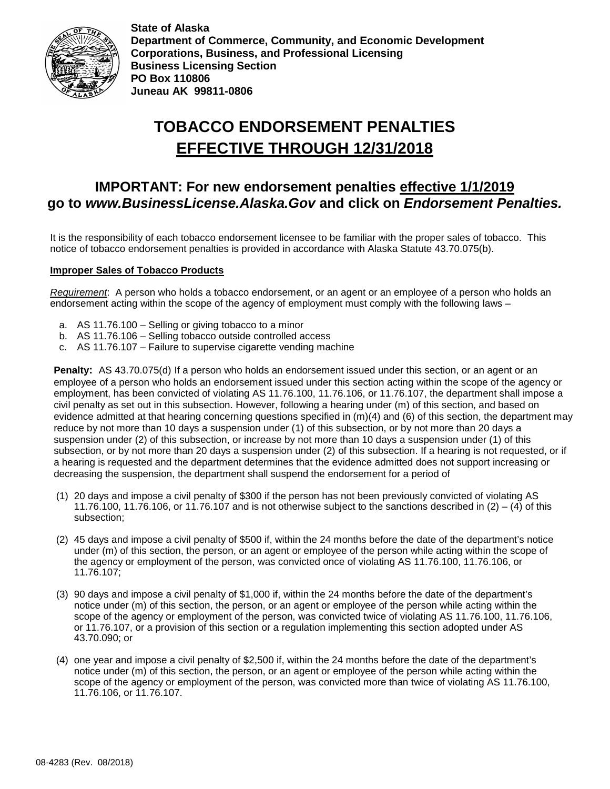

**State of Alaska Department of Commerce, Community, and Economic Development Corporations, Business, and Professional Licensing Business Licensing Section PO Box 110806 Juneau AK 99811-0806**

# **TOBACCO ENDORSEMENT PENALTIES EFFECTIVE THROUGH 12/31/2018**

# **IMPORTANT: For new endorsement penalties effective 1/1/2019 go to** *[www.BusinessLicense.Alaska.Gov](http://www.businesslicense.alaska.gov/)* **and click on** *Endorsement Penalties.*

It is the responsibility of each tobacco endorsement licensee to be familiar with the proper sales of tobacco. This notice of tobacco endorsement penalties is provided in accordance with Alaska Statute 43.70.075(b).

## **Improper Sales of Tobacco Products**

*Requirement*: A person who holds a tobacco endorsement, or an agent or an employee of a person who holds an endorsement acting within the scope of the agency of employment must comply with the following laws –

- a. AS 11.76.100 Selling or giving tobacco to a minor
- b. AS 11.76.106 Selling tobacco outside controlled access
- c. AS 11.76.107 Failure to supervise cigarette vending machine

**Penalty:** AS 43.70.075(d) If a person who holds an endorsement issued under this section, or an agent or an employee of a person who holds an endorsement issued under this section acting within the scope of the agency or employment, has been convicted of violating AS 11.76.100, 11.76.106, or 11.76.107, the department shall impose a civil penalty as set out in this subsection. However, following a hearing under (m) of this section, and based on evidence admitted at that hearing concerning questions specified in (m)(4) and (6) of this section, the department may reduce by not more than 10 days a suspension under (1) of this subsection, or by not more than 20 days a suspension under (2) of this subsection, or increase by not more than 10 days a suspension under (1) of this subsection, or by not more than 20 days a suspension under (2) of this subsection. If a hearing is not requested, or if a hearing is requested and the department determines that the evidence admitted does not support increasing or decreasing the suspension, the department shall suspend the endorsement for a period of

- (1) 20 days and impose a civil penalty of \$300 if the person has not been previously convicted of violating AS 11.76.100, 11.76.106, or 11.76.107 and is not otherwise subject to the sanctions described in  $(2) - (4)$  of this subsection;
- (2) 45 days and impose a civil penalty of \$500 if, within the 24 months before the date of the department's notice under (m) of this section, the person, or an agent or employee of the person while acting within the scope of the agency or employment of the person, was convicted once of violating AS 11.76.100, 11.76.106, or 11.76.107;
- (3) 90 days and impose a civil penalty of \$1,000 if, within the 24 months before the date of the department's notice under (m) of this section, the person, or an agent or employee of the person while acting within the scope of the agency or employment of the person, was convicted twice of violating AS 11.76.100, 11.76.106, or 11.76.107, or a provision of this section or a regulation implementing this section adopted under AS 43.70.090; or
- (4) one year and impose a civil penalty of \$2,500 if, within the 24 months before the date of the department's notice under (m) of this section, the person, or an agent or employee of the person while acting within the scope of the agency or employment of the person, was convicted more than twice of violating AS 11.76.100, 11.76.106, or 11.76.107.